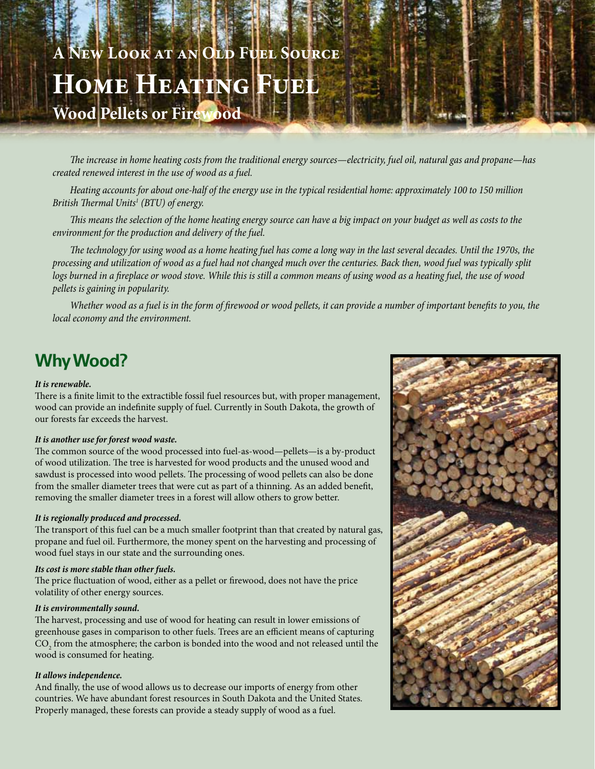# **A New Look at an Old Fuel Source Home Heating Fuel Wood Pellets or Firewood**

*The increase in home heating costs from the traditional energy sources—electricity, fuel oil, natural gas and propane—has created renewed interest in the use of wood as a fuel.* 

*Heating accounts for about one-half of the energy use in the typical residential home: approximately 100 to 150 million British Thermal Units1 (BTU) of energy.* 

*This means the selection of the home heating energy source can have a big impact on your budget as well as costs to the environment for the production and delivery of the fuel.*

*The technology for using wood as a home heating fuel has come a long way in the last several decades. Until the 1970s, the processing and utilization of wood as a fuel had not changed much over the centuries. Back then, wood fuel was typically split*  logs burned in a fireplace or wood stove. While this is still a common means of using wood as a heating fuel, the use of wood *pellets is gaining in popularity.* 

*Whether wood as a fuel is in the form of firewood or wood pellets, it can provide a number of important benefits to you, the local economy and the environment.*

## **Why Wood?**

#### *It is renewable.*

There is a finite limit to the extractible fossil fuel resources but, with proper management, wood can provide an indefinite supply of fuel. Currently in South Dakota, the growth of our forests far exceeds the harvest.

#### *It is another use for forest wood waste.*

The common source of the wood processed into fuel-as-wood—pellets—is a by-product of wood utilization. The tree is harvested for wood products and the unused wood and sawdust is processed into wood pellets. The processing of wood pellets can also be done from the smaller diameter trees that were cut as part of a thinning. As an added benefit, removing the smaller diameter trees in a forest will allow others to grow better.

#### *It is regionally produced and processed.*

The transport of this fuel can be a much smaller footprint than that created by natural gas, propane and fuel oil. Furthermore, the money spent on the harvesting and processing of wood fuel stays in our state and the surrounding ones.

#### *Its cost is more stable than other fuels.*

The price fluctuation of wood, either as a pellet or firewood, does not have the price volatility of other energy sources.

#### *It is environmentally sound.*

The harvest, processing and use of wood for heating can result in lower emissions of greenhouse gases in comparison to other fuels. Trees are an efficient means of capturing  $\mathrm{CO}_2$  from the atmosphere; the carbon is bonded into the wood and not released until the wood is consumed for heating.

#### *It allows independence.*

And finally, the use of wood allows us to decrease our imports of energy from other countries. We have abundant forest resources in South Dakota and the United States. Properly managed, these forests can provide a steady supply of wood as a fuel.

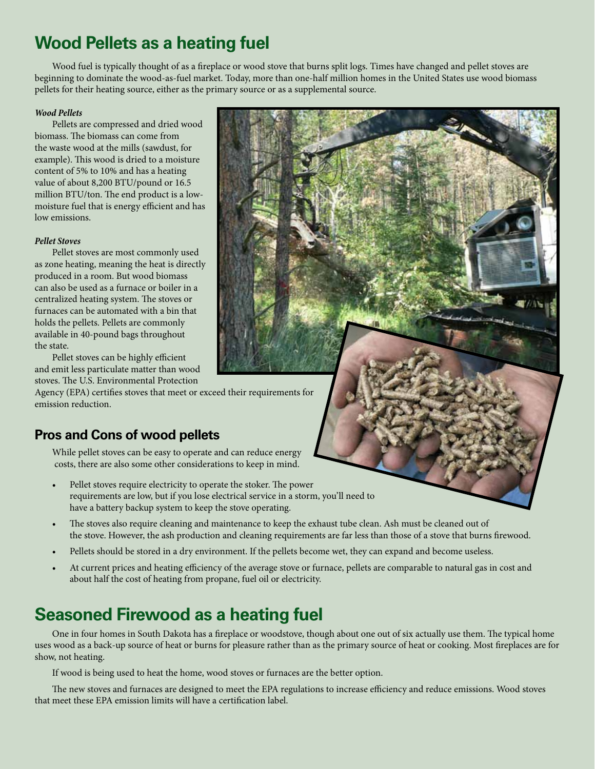## **Wood Pellets as a heating fuel**

Wood fuel is typically thought of as a fireplace or wood stove that burns split logs. Times have changed and pellet stoves are beginning to dominate the wood-as-fuel market. Today, more than one-half million homes in the United States use wood biomass pellets for their heating source, either as the primary source or as a supplemental source.

#### *Wood Pellets*

Pellets are compressed and dried wood biomass. The biomass can come from the waste wood at the mills (sawdust, for example). This wood is dried to a moisture content of 5% to 10% and has a heating value of about 8,200 BTU/pound or 16.5 million BTU/ton. The end product is a lowmoisture fuel that is energy efficient and has low emissions.

#### *Pellet Stoves*

Pellet stoves are most commonly used as zone heating, meaning the heat is directly produced in a room. But wood biomass can also be used as a furnace or boiler in a centralized heating system. The stoves or furnaces can be automated with a bin that holds the pellets. Pellets are commonly available in 40-pound bags throughout the state.

Pellet stoves can be highly efficient and emit less particulate matter than wood stoves. The U.S. Environmental Protection

Agency (EPA) certifies stoves that meet or exceed their requirements for emission reduction.

### **Pros and Cons of wood pellets**

While pellet stoves can be easy to operate and can reduce energy costs, there are also some other considerations to keep in mind.

- Pellet stoves require electricity to operate the stoker. The power requirements are low, but if you lose electrical service in a storm, you'll need to have a battery backup system to keep the stove operating.
- The stoves also require cleaning and maintenance to keep the exhaust tube clean. Ash must be cleaned out of the stove. However, the ash production and cleaning requirements are far less than those of a stove that burns firewood.
- Pellets should be stored in a dry environment. If the pellets become wet, they can expand and become useless.
- At current prices and heating efficiency of the average stove or furnace, pellets are comparable to natural gas in cost and about half the cost of heating from propane, fuel oil or electricity.

## **Seasoned Firewood as a heating fuel**

One in four homes in South Dakota has a fireplace or woodstove, though about one out of six actually use them. The typical home uses wood as a back-up source of heat or burns for pleasure rather than as the primary source of heat or cooking. Most fireplaces are for show, not heating.

 If wood is being used to heat the home, wood stoves or furnaces are the better option.

The new stoves and furnaces are designed to meet the EPA regulations to increase efficiency and reduce emissions. Wood stoves that meet these EPA emission limits will have a certification label.

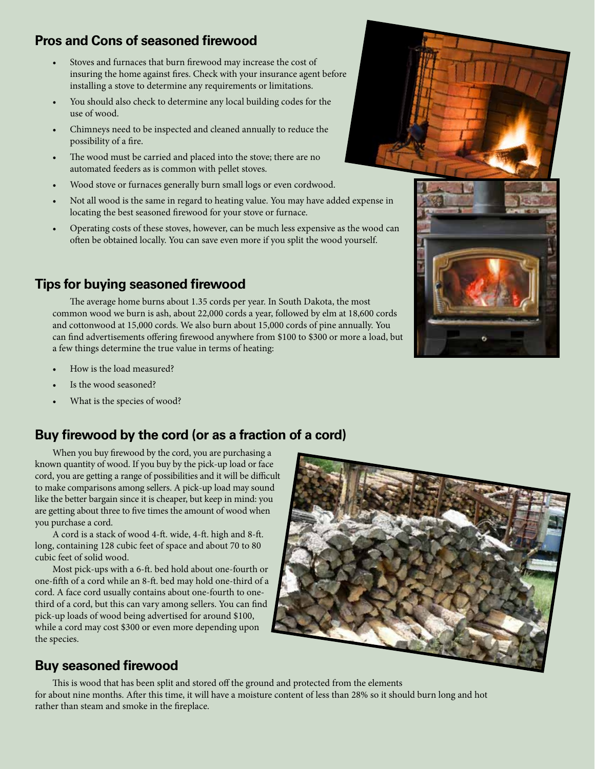## **Pros and Cons of seasoned firewood**

- Stoves and furnaces that burn firewood may increase the cost of insuring the home against fires. Check with your insurance agent before installing a stove to determine any requirements or limitations.
- You should also check to determine any local building codes for the use of wood.
- Chimneys need to be inspected and cleaned annually to reduce the possibility of a fire.
- The wood must be carried and placed into the stove; there are no automated feeders as is common with pellet stoves.
- Wood stove or furnaces generally burn small logs or even cordwood.
- Not all wood is the same in regard to heating value. You may have added expense in locating the best seasoned firewood for your stove or furnace.
- Operating costs of these stoves, however, can be much less expensive as the wood can often be obtained locally. You can save even more if you split the wood yourself.

## **Tips for buying seasoned firewood**

 The average home burns about 1.35 cords per year. In South Dakota, the most common wood we burn is ash, about 22,000 cords a year, followed by elm at 18,600 cords and cottonwood at 15,000 cords. We also burn about 15,000 cords of pine annually. You can find advertisements offering firewood anywhere from \$100 to \$300 or more a load, but a few things determine the true value in terms of heating:

- How is the load measured?
- Is the wood seasoned?
- What is the species of wood?

## **Buy firewood by the cord (or as a fraction of a cord)**

When you buy firewood by the cord, you are purchasing a known quantity of wood. If you buy by the pick-up load or face cord, you are getting a range of possibilities and it will be difficult to make comparisons among sellers. A pick-up load may sound like the better bargain since it is cheaper, but keep in mind: you are getting about three to five times the amount of wood when you purchase a cord.

A cord is a stack of wood 4-ft. wide, 4-ft. high and 8-ft. long, containing 128 cubic feet of space and about 70 to 80 cubic feet of solid wood.

Most pick-ups with a 6-ft. bed hold about one-fourth or one-fifth of a cord while an 8-ft. bed may hold one-third of a cord. A face cord usually contains about one-fourth to onethird of a cord, but this can vary among sellers. You can find pick-up loads of wood being advertised for around \$100, while a cord may cost \$300 or even more depending upon the species.



## **Buy seasoned firewood**

This is wood that has been split and stored off the ground and protected from the elements for about nine months. After this time, it will have a moisture content of less than 28% so it should burn long and hot rather than steam and smoke in the fireplace.